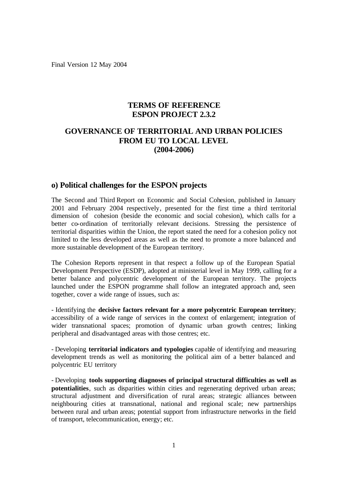Final Version 12 May 2004

# **TERMS OF REFERENCE ESPON PROJECT 2.3.2**

# **GOVERNANCE OF TERRITORIAL AND URBAN POLICIES FROM EU TO LOCAL LEVEL (2004-2006)**

## **o) Political challenges for the ESPON projects**

The Second and Third Report on Economic and Social Cohesion, published in January 2001 and February 2004 respectively, presented for the first time a third territorial dimension of cohesion (beside the economic and social cohesion), which calls for a better co-ordination of territorially relevant decisions. Stressing the persistence of territorial disparities within the Union, the report stated the need for a cohesion policy not limited to the less developed areas as well as the need to promote a more balanced and more sustainable development of the European territory.

The Cohesion Reports represent in that respect a follow up of the European Spatial Development Perspective (ESDP), adopted at ministerial level in May 1999, calling for a better balance and polycentric development of the European territory. The projects launched under the ESPON programme shall follow an integrated approach and, seen together, cover a wide range of issues, such as:

- Identifying the **decisive factors relevant for a more polycentric European territory**; accessibility of a wide range of services in the context of enlargement; integration of wider transnational spaces; promotion of dynamic urban growth centres; linking peripheral and disadvantaged areas with those centres; etc.

- Developing **territorial indicators and typologies** capable of identifying and measuring development trends as well as monitoring the political aim of a better balanced and polycentric EU territory

- Developing **tools supporting diagnoses of principal structural difficulties as well as potentialities**, such as disparities within cities and regenerating deprived urban areas; structural adjustment and diversification of rural areas; strategic alliances between neighbouring cities at transnational, national and regional scale; new partnerships between rural and urban areas; potential support from infrastructure networks in the field of transport, telecommunication, energy; etc.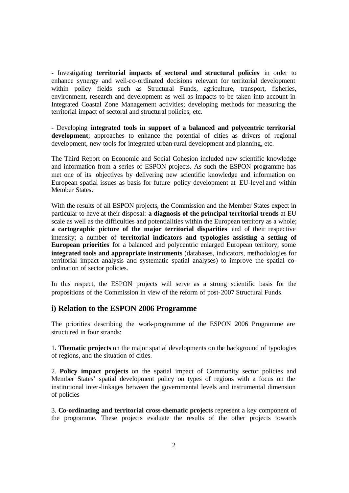- Investigating **territorial impacts of sectoral and structural policies** in order to enhance synergy and well-co-ordinated decisions relevant for territorial development within policy fields such as Structural Funds, agriculture, transport, fisheries, environment, research and development as well as impacts to be taken into account in Integrated Coastal Zone Management activities; developing methods for measuring the territorial impact of sectoral and structural policies; etc.

- Developing **integrated tools in support of a balanced and polycentric territorial**  development; approaches to enhance the potential of cities as drivers of regional development, new tools for integrated urban-rural development and planning, etc.

The Third Report on Economic and Social Cohesion included new scientific knowledge and information from a series of ESPON projects. As such the ESPON programme has met one of its objectives by delivering new scientific knowledge and information on European spatial issues as basis for future policy development at EU-level and within Member States.

With the results of all ESPON projects, the Commission and the Member States expect in particular to have at their disposal: **a diagnosis of the principal territorial trends** at EU scale as well as the difficulties and potentialities within the European territory as a whole: **a cartographic picture of the major territorial disparities** and of their respective intensity; a number of **territorial indicators and typologies assisting a setting of European priorities** for a balanced and polycentric enlarged European territory; some **integrated tools and appropriate instruments** (databases, indicators, methodologies for territorial impact analysis and systematic spatial analyses) to improve the spatial coordination of sector policies.

In this respect, the ESPON projects will serve as a strong scientific basis for the propositions of the Commission in view of the reform of post-2007 Structural Funds.

### **i) Relation to the ESPON 2006 Programme**

The priorities describing the work-programme of the ESPON 2006 Programme are structured in four strands:

1. **Thematic projects** on the major spatial developments on the background of typologies of regions, and the situation of cities.

2. **Policy impact projects** on the spatial impact of Community sector policies and Member States' spatial development policy on types of regions with a focus on the institutional inter-linkages between the governmental levels and instrumental dimension of policies

3. **Co-ordinating and territorial cross-thematic projects** represent a key component of the programme. These projects evaluate the results of the other projects towards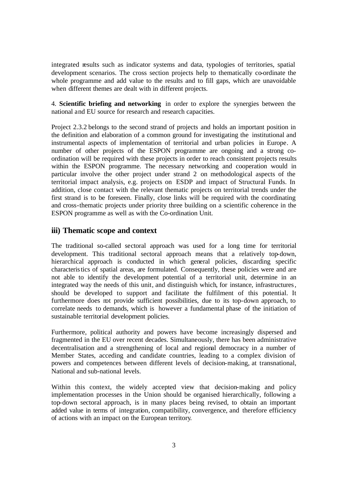integrated results such as indicator systems and data, typologies of territories, spatial development scenarios. The cross section projects help to thematically co-ordinate the whole programme and add value to the results and to fill gaps, which are unavoidable when different themes are dealt with in different projects.

4. **Scientific briefing and networking** in order to explore the synergies between the national and EU source for research and research capacities.

Project 2.3.2 belongs to the second strand of projects and holds an important position in the definition and elaboration of a common ground for investigating the institutional and instrumental aspects of implementation of territorial and urban policies in Europe. A number of other projects of the ESPON programme are ongoing and a strong coordination will be required with these projects in order to reach consistent projects results within the ESPON programme. The necessary networking and cooperation would in particular involve the other project under strand 2 on methodological aspects of the territorial impact analysis, e.g. projects on ESDP and impact of Structural Funds. In addition, close contact with the relevant thematic projects on territorial trends under the first strand is to be foreseen. Finally, close links will be required with the coordinating and cross-thematic projects under priority three building on a scientific coherence in the ESPON programme as well as with the Co-ordination Unit.

# **iii) Thematic scope and context**

The traditional so-called sectoral approach was used for a long time for territorial development. This traditional sectoral approach means that a relatively top-down, hierarchical approach is conducted in which general policies, discarding specific characteristics of spatial areas, are formulated. Consequently, these policies were and are not able to identify the development potential of a territorial unit, determine in an integrated way the needs of this unit, and distinguish which, for instance, infrastructures, should be developed to support and facilitate the fulfilment of this potential. It furthermore does not provide sufficient possibilities, due to its top-down approach, to correlate needs to demands, which is however a fundamental phase of the initiation of sustainable territorial development policies.

Furthermore, political authority and powers have become increasingly dispersed and fragmented in the EU over recent decades. Simultaneously, there has been administrative decentralisation and a strengthening of local and regional democracy in a number of Member States, acceding and candidate countries, leading to a complex division of powers and competences between different levels of decision-making, at transnational, National and sub-national levels.

Within this context, the widely accepted view that decision-making and policy implementation processes in the Union should be organised hierarchically, following a top-down sectoral approach, is in many places being revised, to obtain an important added value in terms of integration, compatibility, convergence, and therefore efficiency of actions with an impact on the European territory.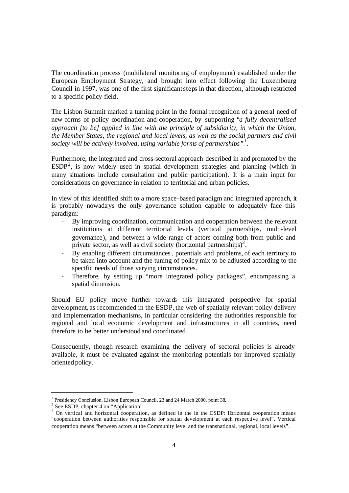The coordination process (multilateral monitoring of employment) established under the European Employment Strategy, and brought into effect following the Luxembourg Council in 1997, was one of the first significant steps in that direction, although restricted to a specific policy field.

The Lisbon Summit marked a turning point in the formal recognition of a general need of new forms of policy coordination and cooperation, by supporting "*a fully decentralised approach [to be] applied in line with the principle of subsidiarity, in which the Union, the Member States, the regional and local levels, as well as the social partners and civil society will be actively involved, using variable forms of partnerships* " 1 .

Furthermore, the integrated and cross-sectoral approach described in and promoted by the  $ESDP<sup>2</sup>$ , is now widely used in spatial development strategies and planning (which in many situations include consultation and public participation). It is a main input for considerations on governance in relation to territorial and urban policies.

In view of this identified shift to a more space-based paradigm and integrated approach, it is probably nowadays the only governance solution capable to adequately face this paradigm:

- By improving coordination, communication and cooperation between the relevant institutions at different territorial levels (vertical partnerships, multi-level governance), and between a wide range of actors coming both from public and private sector, as well as civil society (horizontal partnerships)<sup>3</sup>.
- By enabling different circumstances, potentials and problems, of each territory to be taken into account and the tuning of policy mix to be adjusted according to the specific needs of those varying circumstances.
- Therefore, by setting up "more integrated policy packages", encompassing a spatial dimension.

Should EU policy move further towards this integrated perspective for spatial development, as recommended in the ESDP, the web of spatially relevant policy delivery and implementation mechanisms, in particular considering the authorities responsible for regional and local economic development and infrastructures in all countries, need therefore to be better understood and coordinated.

Consequently, though research examining the delivery of sectoral policies is already available, it must be evaluated against the monitoring potentials for improved spatially oriented policy.

<sup>&</sup>lt;sup>1</sup> Presidency Conclusion, Lisbon European Council, 23 and 24 March 2000, point 38.

<sup>&</sup>lt;sup>2</sup> See ESDP, chapter 4 on "Application"

<sup>&</sup>lt;sup>3</sup> On vertical and horizontal cooperation, as defined in the in the ESDP: Horizontal cooperation means "cooperation between authorities responsible for spatial development at each respective level", Vertical cooperation means "between actors at the Community level and the transnational, regional, local levels".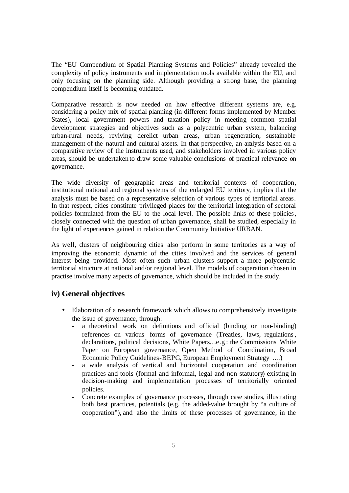The "EU Compendium of Spatial Planning Systems and Policies" already revealed the complexity of policy instruments and implementation tools available within the EU, and only focusing on the planning side. Although providing a strong base, the planning compendium itself is becoming outdated.

Comparative research is now needed on how effective different systems are, e.g. considering a policy mix of spatial planning (in different forms implemented by Member States), local government powers and taxation policy in meeting common spatial development strategies and objectives such as a polycentric urban system, balancing urban-rural needs, reviving derelict urban areas, urban regeneration, sustainable management of the natural and cultural assets. In that perspective, an analysis based on a comparative review of the instruments used, and stakeholders involved in various policy areas, should be undertaken to draw some valuable conclusions of practical relevance on governance.

The wide diversity of geographic areas and territorial contexts of cooperation, institutional national and regional systems of the enlarged EU territory, implies that the analysis must be based on a representative selection of various types of territorial areas. In that respect, cities constitute privileged places for the territorial integration of sectoral policies formulated from the EU to the local level. The possible links of these policies, closely connected with the question of urban governance, shall be studied, especially in the light of experiences gained in relation the Community Initiative URBAN.

As well, clusters of neighbouring cities also perform in some territories as a way of improving the economic dynamic of the cities involved and the services of general interest being provided. Most often such urban clusters support a more polycentric territorial structure at national and/or regional level. The models of cooperation chosen in practise involve many aspects of governance, which should be included in the study.

# **iv) General objectives**

- Elaboration of a research framework which allows to comprehensively investigate the issue of governance, through:
	- a theoretical work on definitions and official (binding or non-binding) references on various forms of governance (Treaties, laws, regulations, declarations, political decisions, White Papers…e.g.: the Commissions White Paper on European governance, Open Method of Coordination, Broad Economic Policy Guidelines-BEPG, European Employment Strategy ….)
	- a wide analysis of vertical and horizontal cooperation and coordination practices and tools (formal and informal, legal and non statutory) existing in decision-making and implementation processes of territorially oriented policies.
	- Concrete examples of governance processes, through case studies, illustrating both best practices, potentials (e.g. the added-value brought by "a culture of cooperation"), and also the limits of these processes of governance, in the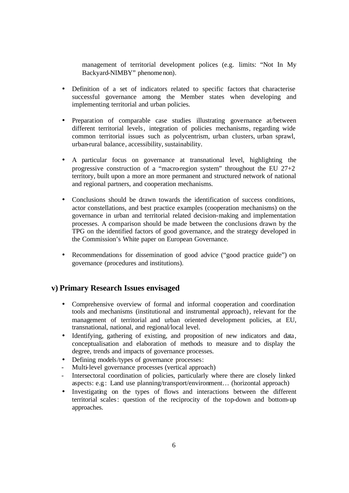management of territorial development polices (e.g. limits: "Not In My Backyard-NIMBY" phenomenon).

- Definition of a set of indicators related to specific factors that characterise successful governance among the Member states when developing and implementing territorial and urban policies.
- Preparation of comparable case studies illustrating governance at/between different territorial levels, integration of policies mechanisms, regarding wide common territorial issues such as polycentrism, urban clusters, urban sprawl, urban-rural balance, accessibility, sustainability.
- A particular focus on governance at transnational level, highlighting the progressive construction of a "macro-region system" throughout the EU 27+2 territory, built upon a more an more permanent and structured network of national and regional partners, and cooperation mechanisms.
- Conclusions should be drawn towards the identification of success conditions, actor constellations, and best practice examples (cooperation mechanisms) on the governance in urban and territorial related decision-making and implementation processes. A comparison should be made between the conclusions drawn by the TPG on the identified factors of good governance, and the strategy developed in the Commission's White paper on European Governance.
- Recommendations for dissemination of good advice ("good practice guide") on governance (procedures and institutions).

# **v) Primary Research Issues envisaged**

- Comprehensive overview of formal and informal cooperation and coordination tools and mechanisms (institutional and instrumental approach), relevant for the management of territorial and urban oriented development policies, at EU, transnational, national, and regional/local level.
- Identifying, gathering of existing, and proposition of new indicators and data, conceptualisation and elaboration of methods to measure and to display the degree, trends and impacts of governance processes.
- Defining models/types of governance processes:
- Multi-level governance processes (vertical approach)
- Intersectoral coordination of policies, particularly where there are closely linked aspects: e.g.: Land use planning/transport/environment… (horizontal approach)
- Investigating on the types of flows and interactions between the different territorial scales: question of the reciprocity of the top-down and bottom-up approaches.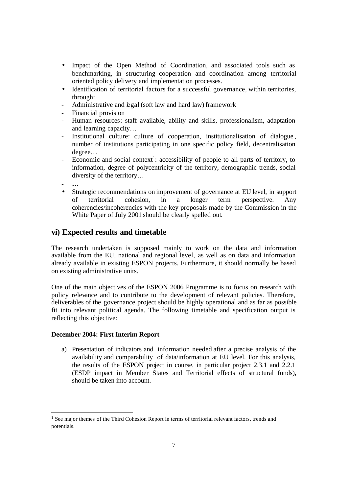- Impact of the Open Method of Coordination, and associated tools such as benchmarking, in structuring cooperation and coordination among territorial oriented policy delivery and implementation processes.
- Identification of territorial factors for a successful governance, within territories, through:
- Administrative and legal (soft law and hard law) framework
- Financial provision
- Human resources: staff available, ability and skills, professionalism, adaptation and learning capacity…
- Institutional culture: culture of cooperation, institutionalisation of dialogue , number of institutions participating in one specific policy field, decentralisation degree…
- Economic and social context<sup>1</sup>: accessibility of people to all parts of territory, to information, degree of polycentricity of the territory, demographic trends, social diversity of the territory…
- **…**

• Strategic recommendations on improvement of governance at EU level, in support of territorial cohesion, in a longer term perspective. Any coherencies/incoherencies with the key proposals made by the Commission in the White Paper of July 2001 should be clearly spelled out.

# **vi) Expected results and timetable**

The research undertaken is supposed mainly to work on the data and information available from the EU, national and regional leve l, as well as on data and information already available in existing ESPON projects. Furthermore, it should normally be based on existing administrative units.

One of the main objectives of the ESPON 2006 Programme is to focus on research with policy relevance and to contribute to the development of relevant policies. Therefore, deliverables of the governance project should be highly operational and as far as possible fit into relevant political agenda. The following timetable and specification output is reflecting this objective:

### **December 2004: First Interim Report**

a) Presentation of indicators and information needed after a precise analysis of the availability and comparability of data/information at EU level. For this analysis, the results of the ESPON project in course, in particular project 2.3.1 and 2.2.1 (ESDP impact in Member States and Territorial effects of structural funds), should be taken into account.

 $<sup>1</sup>$  See major themes of the Third Cohesion Report in terms of territorial relevant factors, trends and</sup> potentials.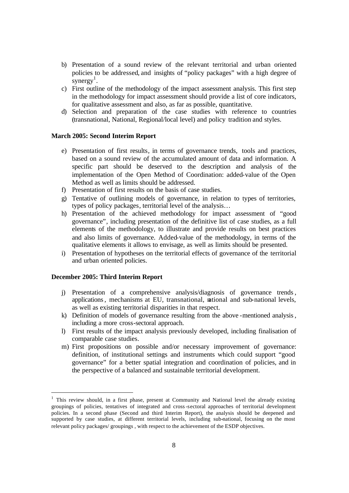- b) Presentation of a sound review of the relevant territorial and urban oriented policies to be addressed, and insights of "policy packages" with a high degree of synergy<sup>1</sup>.
- c) First outline of the methodology of the impact assessment analysis. This first step in the methodology for impact assessment should provide a list of core indicators, for qualitative assessment and also, as far as possible, quantitative.
- d) Selection and preparation of the case studies with reference to countries (transnational, National, Regional/local level) and policy tradition and styles.

#### **March 2005: Second Interim Report**

- e) Presentation of first results, in terms of governance trends, tools and practices, based on a sound review of the accumulated amount of data and information. A specific part should be deserved to the description and analysis of the implementation of the Open Method of Coordination: added-value of the Open Method as well as limits should be addressed.
- f) Presentation of first results on the basis of case studies.
- g) Tentative of outlining models of governance, in relation to types of territories, types of policy packages, territorial level of the analysis…
- h) Presentation of the achieved methodology for impact assessment of "good governance", including presentation of the definitive list of case studies, as a full elements of the methodology, to illustrate and provide results on best practices and also limits of governance. Added-value of the methodology, in terms of the qualitative elements it allows to envisage, as well as limits should be presented.
- i) Presentation of hypotheses on the territorial effects of governance of the territorial and urban oriented policies.

### **December 2005: Third Interim Report**

- j) Presentation of a comprehensive analysis/diagnosis of governance trends, applications, mechanisms at EU, transnational, national and sub-national levels, as well as existing territorial disparities in that respect.
- k) Definition of models of governance resulting from the above -mentioned analysis, including a more cross-sectoral approach.
- l) First results of the impact analysis previously developed, including finalisation of comparable case studies.
- m) First propositions on possible and/or necessary improvement of governance: definition, of institutional settings and instruments which could support "good governance" for a better spatial integration and coordination of policies, and in the perspective of a balanced and sustainable territorial development.

<sup>&</sup>lt;sup>1</sup> This review should, in a first phase, present at Community and National level the already existing groupings of policies, tentatives of integrated and cross-sectoral approaches of territorial development policies. In a second phase (Second and third Interim Report), the analysis should be deepened and supported by case studies, at different territorial levels, including sub-national, focusing on the most relevant policy packages/ groupings , with respect to the achievement of the ESDP objectives.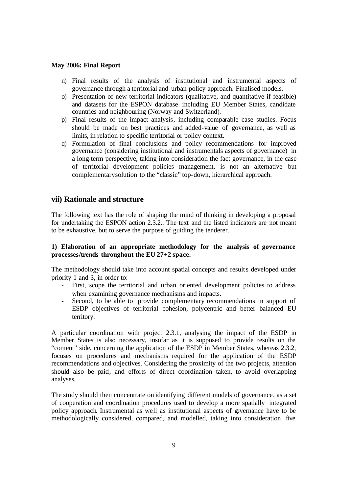#### **May 2006: Final Report**

- n) Final results of the analysis of institutional and instrumental aspects of governance through a territorial and urban policy approach. Finalised models.
- o) Presentation of new territorial indicators (qualitative, and quantitative if feasible) and datasets for the ESPON database including EU Member States, candidate countries and neighbouring (Norway and Switzerland).
- p) Final results of the impact analysis, including comparable case studies. Focus should be made on best practices and added-value of governance, as well as limits, in relation to specific territorial or policy context.
- q) Formulation of final conclusions and policy recommendations for improved governance (considering institutional and instrumentals aspects of governance) in a long-term perspective, taking into consideration the fact governance, in the case of territorial development policies management, is not an alternative but complementary solution to the "classic" top-down, hierarchical approach.

## **vii) Rationale and structure**

The following text has the role of shaping the mind of thinking in developing a proposal for undertaking the ESPON action 2.3.2.. The text and the listed indicators are not meant to be exhaustive, but to serve the purpose of guiding the tenderer.

## **1) Elaboration of an appropriate methodology for the analysis of governance processes/trends throughout the EU 27+2 space.**

The methodology should take into account spatial concepts and results developed under priority 1 and 3, in order to:

- First, scope the territorial and urban oriented development policies to address when examining governance mechanisms and impacts.
- Second, to be able to provide complementary recommendations in support of ESDP objectives of territorial cohesion, polycentric and better balanced EU territory.

A particular coordination with project 2.3.1, analysing the impact of the ESDP in Member States is also necessary, insofar as it is supposed to provide results on the "content" side, concerning the application of the ESDP in Member States, whereas 2.3.2, focuses on procedures and mechanisms required for the application of the ESDP recommendations and objectives. Considering the proximity of the two projects, attention should also be paid, and efforts of direct coordination taken, to avoid overlapping analyses.

The study should then concentrate on identifying different models of governance, as a set of cooperation and coordination procedures used to develop a more spatially integrated policy approach. Instrumental as well as institutional aspects of governance have to be methodologically considered, compared, and modelled, taking into consideration five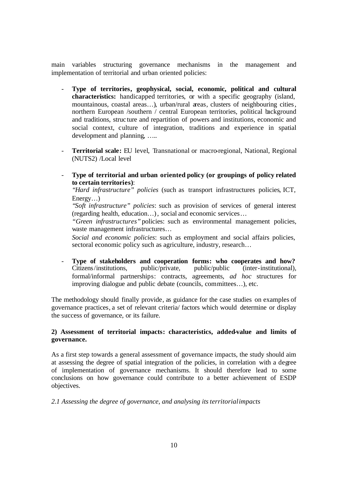main variables structuring governance mechanisms in the management and implementation of territorial and urban oriented policies:

- **Type of territories, geophysical, social, economic, political and cultural characteristics:** handicapped territories, or with a specific geography (island, mountainous, coastal areas…), urban/rural areas, clusters of neighbouring cities, northern European /southern / central European territories, political background and traditions, struc ture and repartition of powers and institutions, economic and social context, culture of integration, traditions and experience in spatial development and planning, …..
- **Territorial scale:** EU level, Transnational or macro-regional, National, Regional (NUTS2) /Local level
- **Type of territorial and urban oriented policy (or groupings of policy related to certain territories)**:

*"Hard infrastructure" policies* (such as transport infrastructures policies, ICT, Energy…)

*"Soft infrastructure" policies*: such as provision of services of general interest (regarding health, education…), social and economic services…

*"Green infrastructures"* policies: such as environmental management policies, waste management infrastructures…

*Social and economic policies*: such as employment and social affairs policies, sectoral economic policy such as agriculture, industry, research...

**Type of stakeholders and cooperation forms: who cooperates and how?**<br>Citizens/institutions, public/private, public/public (inter-institutional), Citizens/institutions, public/private, public/public (inter-institutional), formal/informal partnerships: contracts, agreements, *ad hoc* structures for improving dialogue and public debate (councils, committees…), etc.

The methodology should finally provide, as guidance for the case studies on examples of governance practices, a set of relevant criteria/ factors which would determine or display the success of governance, or its failure.

## **2) Assessment of territorial impacts: characteristics, added-value and limits of governance.**

As a first step towards a general assessment of governance impacts, the study should aim at assessing the degree of spatial integration of the policies, in correlation with a degree of implementation of governance mechanisms. It should therefore lead to some conclusions on how governance could contribute to a better achievement of ESDP objectives.

*2.1 Assessing the degree of governance, and analysing its territorial impacts*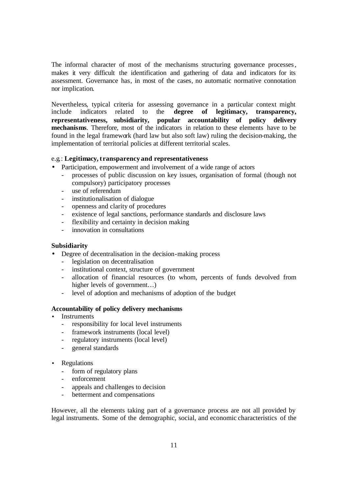The informal character of most of the mechanisms structuring governance processes, makes it very difficult the identification and gathering of data and indicators for its assessment. Governance has, in most of the cases, no automatic normative connotation nor implication.

Nevertheless, typical criteria for assessing governance in a particular context might include indicators related to the **degree of legitimacy, transparency, representativeness, subsidiarity, popular accountability of policy delivery mechanisms**. Therefore, most of the indicators in relation to these elements have to be found in the legal framework (hard law but also soft law) ruling the decision-making, the implementation of territorial policies at different territorial scales.

### e.g.: **Legitimacy, transparency and representativeness**

- Participation, empowerment and involvement of a wide range of actors
	- processes of public discussion on key issues, organisation of formal (though not compulsory) participatory processes
	- use of referendum
	- institutionalisation of dialogue
	- openness and clarity of procedures
	- existence of legal sanctions, performance standards and disclosure laws
	- flexibility and certainty in decision making
	- innovation in consultations

#### **Subsidiarity**

- Degree of decentralisation in the decision-making process
	- legislation on decentralisation
	- institutional context, structure of government
	- allocation of financial resources (to whom, percents of funds devolved from higher levels of government...)
	- level of adoption and mechanisms of adoption of the budget

#### **Accountability of policy delivery mechanisms**

- **Instruments** 
	- responsibility for local level instruments
	- framework instruments (local level)
	- regulatory instruments (local level)
	- general standards
- **Regulations** 
	- form of regulatory plans
	- enforcement
	- appeals and challenges to decision
	- betterment and compensations

However, all the elements taking part of a governance process are not all provided by legal instruments. Some of the demographic, social, and economic characteristics of the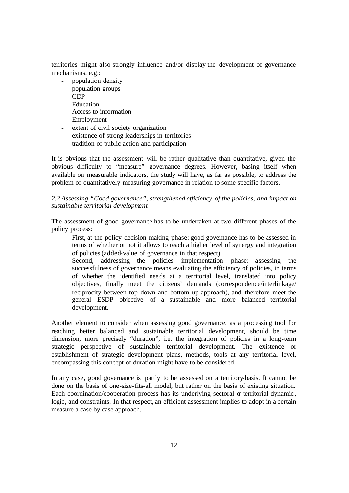territories might also strongly influence and/or display the development of governance mechanisms, e.g.:

- population density
- population groups
- GDP
- Education
- Access to information
- Employment
- extent of civil society organization
- existence of strong leaderships in territories
- tradition of public action and participation

It is obvious that the assessment will be rather qualitative than quantitative, given the obvious difficulty to "measure" governance degrees. However, basing itself when available on measurable indicators, the study will have, as far as possible, to address the problem of quantitatively measuring governance in relation to some specific factors.

*2.2 Assessing "Good governance", strengthened efficiency of the policies, and impact on sustainable territorial development*

The assessment of good governance has to be undertaken at two different phases of the policy process:

- First, at the policy decision-making phase: good governance has to be assessed in terms of whether or not it allows to reach a higher level of synergy and integration of policies (added-value of governance in that respect).
- Second, addressing the policies implementation phase: assessing the successfulness of governance means evaluating the efficiency of policies, in terms of whether the identified needs at a territorial level, translated into policy objectives, finally meet the citizens' demands (correspondence/interlinkage/ reciprocity between top-down and bottom-up approach), and therefore meet the general ESDP objective of a sustainable and more balanced territorial development.

Another element to consider when assessing good governance, as a processing tool for reaching better balanced and sustainable territorial development, should be time dimension, more precisely "duration", i.e. the integration of policies in a long-term strategic perspective of sustainable territorial development. The existence or establishment of strategic development plans, methods, tools at any territorial level, encompassing this concept of duration might have to be considered.

In any case, good governance is partly to be assessed on a territory-basis. It cannot be done on the basis of one-size-fits-all model, but rather on the basis of existing situation. Each coordination/cooperation process has its underlying sectoral  $\alpha$  territorial dynamic, logic, and constraints. In that respect, an efficient assessment implies to adopt in a certain measure a case by case approach.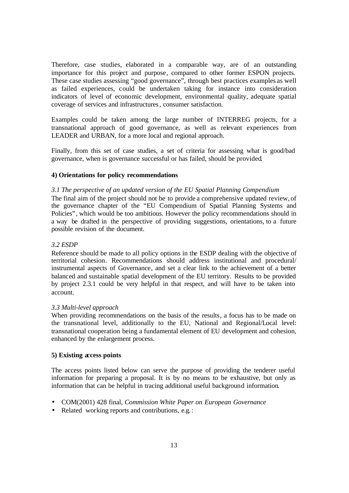Therefore, case studies, elaborated in a comparable way, are of an outstanding importance for this project and purpose, compared to other former ESPON projects. These case studies assessing "good governance", through best practices examples as well as failed experiences, could be undertaken taking for instance into consideration indicators of level of economic development, environmental quality, adequate spatial coverage of services and infrastructures, consumer satisfaction.

Examples could be taken among the large number of INTERREG projects, for a transnational approach of good governance, as well as relevant experiences from LEADER and URBAN, for a more local and regional approach.

Finally, from this set of case studies, a set of criteria for assessing what is good/bad governance, when is governance successful or has failed, should be provided.

### **4) Orientations for policy recommendations**

#### *3.1 The perspective of an updated version of the EU Spatial Planning Compendium*

The final aim of the project should not be to provide a comprehensive updated review, of the governance chapter of the "EU Compendium of Spatial Planning Systems and Policies" , which would be too ambitious. However the policy recommendations should in a way be drafted in the perspective of providing suggestions, orientations, to a future possible revision of the document.

#### *3.2 ESDP*

Reference should be made to all policy options in the ESDP dealing with the objective of territorial cohesion. Recommendations should address institutional and procedural/ instrumental aspects of Governance, and set a clear link to the achievement of a better balanced and sustainable spatial development of the EU territory. Results to be provided by project 2.3.1 could be very helpful in that respect, and will have to be taken into account.

#### *3.3 Multi-level approach*

When providing recommendations on the basis of the results, a focus has to be made on the transnational level, additionally to the EU, National and Regional/Local level: transnational cooperation being a fundamental element of EU development and cohesion, enhanced by the enlargement process.

### **5) Existing access points**

The access points listed below can serve the purpose of providing the tenderer useful information for preparing a proposal. It is by no means to be exhaustive, but only as information that can be helpful in tracing additional useful background information.

- COM(2001) 428 final, *Commission White Paper on European Governance*
- Related working reports and contributions, e.g.: